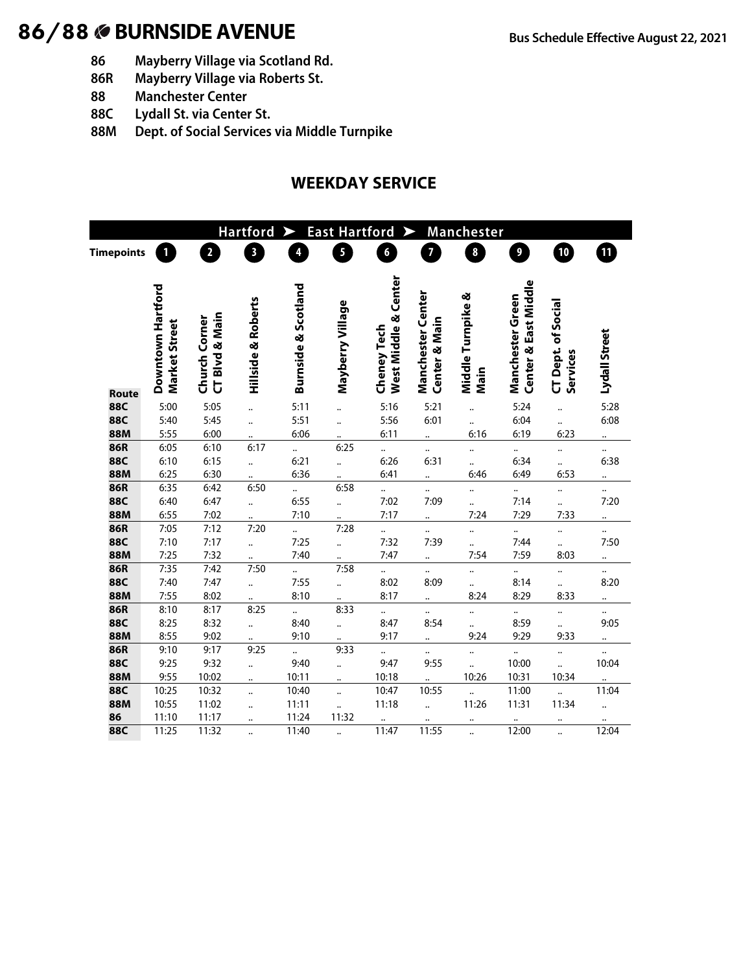- **86 Mayberry Village via Scotland Rd.**
- **86R Mayberry Village via Roberts St.**
- **88 Manchester Center**
- **88C Lydall St. via Center St.**
- **88M Dept. of Social Services via Middle Turnpike**

### **WEEKDAY SERVICE**

| <b>Hartford</b><br><b>East Hartford</b><br>Manchester<br>➤<br>➤ |                                    |                                 |                         |                              |                                              |                                     |                                    |                              |                                          |                                       |                      |
|-----------------------------------------------------------------|------------------------------------|---------------------------------|-------------------------|------------------------------|----------------------------------------------|-------------------------------------|------------------------------------|------------------------------|------------------------------------------|---------------------------------------|----------------------|
| <b>Timepoints</b>                                               |                                    | $\overline{\mathbf{c}}$         | $\overline{\mathbf{3}}$ | 4                            | $\overline{\mathbf{5}}$                      | 6                                   | $\overline{\mathbf{z}}$            | 8                            | $\overline{\mathbf{9}}$                  | 10                                    | 0                    |
|                                                                 |                                    |                                 |                         |                              |                                              |                                     |                                    |                              |                                          |                                       |                      |
|                                                                 | Downtown Hartford<br>Market Street | CT Blvd & Main<br>Church Corner | Hillside & Roberts      | Burnside & Scotland          | Mayberry Village                             | West Middle & Center<br>Cheney Tech | Manchester Center<br>Center & Main | Middle Turnpike &<br>Main    | Center & East Middle<br>Manchester Green | <b>CT Dept. of Social</b><br>Services | Lydall Street        |
| Route                                                           |                                    |                                 |                         |                              |                                              |                                     |                                    |                              |                                          |                                       |                      |
| <b>88C</b>                                                      | 5:00                               | 5:05                            | $\ddot{\phantom{a}}$    | 5:11                         |                                              | 5:16                                | 5:21                               |                              | 5:24                                     | $\ddot{\phantom{a}}$                  | 5:28                 |
| <b>88C</b>                                                      | 5:40                               | 5:45                            |                         | 5:51                         |                                              | 5:56                                | 6:01                               | $\ddot{\phantom{a}}$         | 6:04                                     | $\ddot{\phantom{a}}$                  | 6:08                 |
| <b>88M</b>                                                      | 5:55                               | 6:00                            |                         | 6:06                         |                                              | 6:11                                | $\ddot{\phantom{a}}$               | 6:16                         | 6:19                                     | 6:23                                  |                      |
| 86R<br><b>88C</b>                                               | 6:05                               | 6:10                            | 6:17                    | $\ddot{\phantom{a}}$<br>6:21 | 6:25                                         |                                     | $\ddotsc$                          | $\ddotsc$                    | <br>6:34                                 |                                       | <br>6:38             |
| <b>88M</b>                                                      | 6:10<br>6:25                       | 6:15<br>6:30                    | $\ddot{\phantom{a}}$    | 6:36                         | $\ddot{\cdot}$                               | 6:26<br>6:41                        | 6:31                               | $\ddot{\phantom{a}}$<br>6:46 | 6:49                                     | <br>6:53                              |                      |
| <b>86R</b>                                                      | 6:35                               | 6:42                            | 6:50                    |                              | 6:58                                         |                                     | $\ddot{\phantom{a}}$               |                              |                                          |                                       |                      |
| <b>88C</b>                                                      | 6:40                               | 6:47                            | $\ddot{\phantom{a}}$    | $\ddot{\phantom{0}}$<br>6:55 |                                              | $\ddot{\phantom{a}}$<br>7:02        | <br>7:09                           |                              | $\ddot{\phantom{a}}$<br>7:14             |                                       | <br>7:20             |
| <b>88M</b>                                                      | 6:55                               | 7:02                            | $\ddot{\phantom{a}}$    | 7:10                         | $\ddot{\phantom{a}}$<br>$\ddot{\phantom{a}}$ | 7:17                                |                                    | $\ddot{\phantom{a}}$<br>7:24 | 7:29                                     | <br>7:33                              |                      |
| 86R                                                             | 7:05                               | 7:12                            | 7:20                    | $\ddot{\phantom{a}}$         | 7:28                                         | $\ddotsc$                           | $\ddot{\phantom{a}}$               |                              | $\ddot{\phantom{a}}$                     |                                       |                      |
| 88C                                                             | 7:10                               | 7:17                            | $\ddot{\phantom{a}}$    | 7:25                         | $\ddot{\phantom{a}}$                         | 7:32                                | $\ddot{\phantom{a}}$<br>7:39       | $\ddotsc$<br>                | 7:44                                     | <br>$\ddot{\phantom{a}}$              | <br>7:50             |
| <b>88M</b>                                                      | 7:25                               | 7:32                            | $\ddot{\cdot}$          | 7:40                         |                                              | 7:47                                |                                    | 7:54                         | 7:59                                     | 8:03                                  |                      |
| <b>86R</b>                                                      | 7:35                               | 7:42                            | 7:50                    | $\ddot{\cdot}$               | 7:58                                         | $\ddot{\phantom{0}}$                |                                    |                              | $\ddotsc$                                |                                       |                      |
| <b>88C</b>                                                      | 7:40                               | 7:47                            | $\ddot{\cdot}$          | 7:55                         | $\ddot{\cdot}$                               | 8:02                                | <br>8:09                           | <br>                         | 8:14                                     | <br>                                  | <br>8:20             |
| <b>88M</b>                                                      | 7:55                               | 8:02                            |                         | 8:10                         | $\ddotsc$                                    | 8:17                                | $\ddot{\phantom{a}}$               | 8:24                         | 8:29                                     | 8:33                                  |                      |
| 86R                                                             | 8:10                               | 8:17                            | 8:25                    |                              | 8:33                                         | $\ddot{\cdot}$                      |                                    |                              |                                          |                                       |                      |
| <b>88C</b>                                                      | 8:25                               | 8:32                            | $\ddot{\phantom{a}}$    | 8:40                         | $\ddot{\cdot}$                               | 8:47                                | 8:54                               |                              | 8:59                                     |                                       | 9:05                 |
| <b>88M</b>                                                      | 8:55                               | 9:02                            | $\ddot{\phantom{0}}$    | 9:10                         | $\ddot{\phantom{0}}$                         | 9:17                                | $\ddot{\phantom{a}}$               | 9:24                         | 9:29                                     | 9:33                                  |                      |
| 86R                                                             | 9:10                               | 9:17                            | 9:25                    | $\ddot{\phantom{a}}$         | 9:33                                         | $\ddot{\phantom{0}}$                | $\ddotsc$                          |                              |                                          |                                       | $\ddotsc$            |
| 88C                                                             | 9:25                               | 9:32                            | $\ddot{\phantom{a}}$    | 9:40                         |                                              | 9:47                                | 9:55                               |                              | 10:00                                    |                                       | 10:04                |
| 88M                                                             | 9:55                               | 10:02                           |                         | 10:11                        |                                              | 10:18                               |                                    | 10:26                        | 10:31                                    | 10:34                                 |                      |
| 88C                                                             | 10:25                              | 10:32                           |                         | 10:40                        |                                              | 10:47                               | 10:55                              | $\ddot{\phantom{a}}$         | 11:00                                    | $\ddot{\phantom{a}}$                  | 11:04                |
| <b>88M</b>                                                      | 10:55                              | 11:02                           |                         | 11:11                        |                                              | 11:18                               | $\ddot{\phantom{a}}$               | 11:26                        | 11:31                                    | 11:34                                 | $\ddot{\phantom{a}}$ |
| 86                                                              | 11:10                              | 11:17                           |                         | 11:24                        | 11:32                                        |                                     |                                    |                              |                                          |                                       |                      |
| 88C                                                             | 11:25                              | 11:32                           | $\ddot{\phantom{a}}$    | 11:40                        | $\ddot{\phantom{a}}$                         | 11:47                               | 11:55                              | $\ddot{\phantom{a}}$         | 12:00                                    | $\ddot{\phantom{a}}$                  | 12:04                |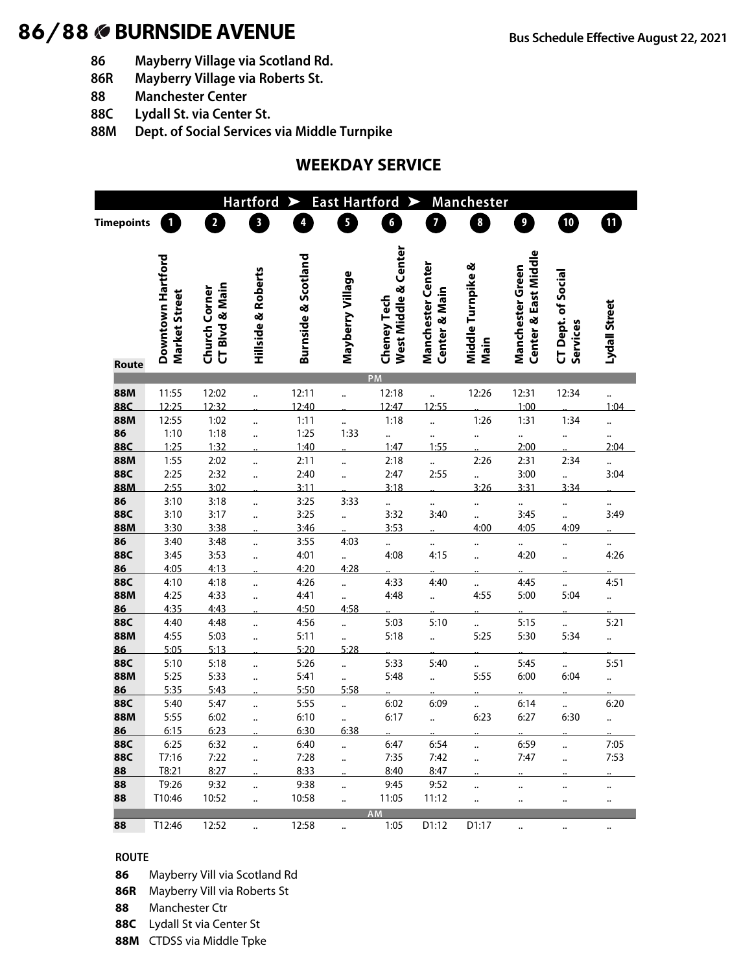- **86 Mayberry Village via Scotland Rd.**
- **86R Mayberry Village via Roberts St.**
- **88 Manchester Center**
- **88C Lydall St. via Center St.**
- **88M Dept. of Social Services via Middle Turnpike**

### **WEEKDAY SERVICE**

|                   |                                    |                                 | <b>Hartford</b>         |                         | <b>East Hartford</b>    |                                            |                                           | <b>Manchester</b>         |                                          |                                       |                      |
|-------------------|------------------------------------|---------------------------------|-------------------------|-------------------------|-------------------------|--------------------------------------------|-------------------------------------------|---------------------------|------------------------------------------|---------------------------------------|----------------------|
| <b>Timepoints</b> | $\mathbf{1}$                       | $\overline{2}$                  | $\overline{\mathbf{3}}$ | $\overline{\mathbf{4}}$ | $\overline{\mathbf{5}}$ | $\boldsymbol{6}$                           | $\overline{7}$                            | $\boldsymbol{8}$          | $\overline{\mathbf{9}}$                  | 10                                    | $\mathbf{m}$         |
| Route             | Downtown Hartford<br>Market Street | CT Blvd & Main<br>Church Corner | Hillside & Roberts      | Burnside & Scotland     | Mayberry Village        | West Middle & Center<br><b>Cheney Tech</b> | <b>Manchester Center</b><br>Center & Main | Middle Turnpike &<br>Main | Center & East Middle<br>Manchester Green | <b>CT Dept. of Social</b><br>Services | Lydall Street        |
|                   |                                    |                                 |                         |                         |                         | PM                                         |                                           |                           |                                          |                                       |                      |
| <b>88M</b><br>88C | 11:55                              | 12:02                           |                         | 12:11<br>12:40          | $\ddot{\phantom{a}}$    | 12:18                                      | <br>12:55                                 | 12:26                     | 12:31                                    | 12:34                                 |                      |
| <b>88M</b>        | 12:25<br>12:55                     | 12:32<br>1:02                   |                         | 1:11                    |                         | 12:47<br>1:18                              |                                           | 1:26                      | 1:00<br>1:31                             | 1:34                                  | 1:04                 |
| 86                | 1:10                               | 1:18                            |                         | 1:25                    | <br>1:33                |                                            |                                           |                           | $\ddotsc$                                |                                       |                      |
| <b>88C</b>        | 1:25                               | 1:32                            |                         | 1:40                    |                         | 1:47                                       | 1:55                                      |                           | 2:00                                     |                                       | 2:04                 |
| <b>88M</b>        | 1:55                               | 2:02                            | $\ddot{\phantom{a}}$    | 2:11                    |                         | 2:18                                       | $\ddot{\phantom{a}}$                      | 2:26                      | 2:31                                     | 2:34                                  |                      |
| <b>88C</b>        | 2:25                               | 2:32                            |                         | 2:40                    |                         | 2:47                                       | 2:55                                      |                           | 3:00                                     |                                       | 3:04                 |
| 88M               | 2:55                               | 3:02                            |                         | 3:11                    |                         | 3:18                                       |                                           | 3:26                      | 3:31                                     | 3:34                                  |                      |
| 86                | 3:10                               | 3:18                            | $\ddot{\phantom{a}}$    | 3:25                    | 3:33                    |                                            |                                           |                           |                                          |                                       |                      |
| <b>88C</b>        | 3:10                               | 3:17                            |                         | 3:25                    | $\ddot{\phantom{a}}$    | 3:32                                       | 3:40                                      |                           | 3:45                                     |                                       | 3:49                 |
| 88M               | 3:30                               | 3:38                            |                         | 3:46                    |                         | 3:53                                       |                                           | 4:00                      | 4:05                                     | 4:09                                  |                      |
| 86                | 3:40                               | 3:48                            |                         | 3:55                    | 4:03                    |                                            |                                           |                           | $\ddotsc$                                |                                       | $\ddot{\phantom{0}}$ |
| <b>88C</b><br>86  | 3:45<br>4:05                       | 3:53<br>4:13                    |                         | 4:01<br>4:20            | $\ddot{\cdot}$<br>4:28  | 4:08                                       | 4:15                                      |                           | 4:20                                     |                                       | 4:26                 |
| 88C               | 4:10                               | 4:18                            |                         | 4:26                    |                         | 4:33                                       | 4:40                                      |                           | 4:45                                     |                                       | 4:51                 |
| 88M               | 4:25                               | 4:33                            |                         | 4:41                    | <br>                    | 4:48                                       | $\cdot$                                   | <br>4:55                  | 5:00                                     | <br>5:04                              |                      |
| 86                | 4:35                               | 4:43                            |                         | 4:50                    | 4:58                    |                                            |                                           |                           |                                          |                                       |                      |
| <b>88C</b>        | 4:40                               | 4:48                            | $\ddot{\phantom{a}}$    | 4:56                    | $\ddot{\phantom{a}}$    | 5:03                                       | 5:10                                      |                           | 5:15                                     |                                       | 5:21                 |
| <b>88M</b>        | 4:55                               | 5:03                            |                         | 5:11                    |                         | 5:18                                       | $\ddot{\cdot}$                            | 5:25                      | 5:30                                     | 5:34                                  |                      |
| 86                | 5:05                               | 5:13                            |                         | 5:20                    | 5:28                    |                                            |                                           |                           |                                          |                                       |                      |
| <b>88C</b>        | 5:10                               | 5:18                            | $\ddot{\phantom{a}}$    | 5:26                    |                         | 5:33                                       | 5:40                                      |                           | 5:45                                     |                                       | 5:51                 |
| 88M               | 5:25                               | 5:33                            |                         | 5:41                    |                         | 5:48                                       | $\ddot{\phantom{a}}$                      | 5:55                      | 6:00                                     | 6:04                                  |                      |
| 86                | 5:35                               | 5:43                            |                         | 5:50                    | 5:58                    |                                            |                                           |                           |                                          |                                       |                      |
| 88C               | 5:40                               | 5:47                            |                         | 5:55                    | $\ddot{\phantom{a}}$    | 6:02                                       | 6:09                                      |                           | 6:14                                     |                                       | 6:20                 |
| <b>88M</b>        | 5:55                               | 6:02                            | $\ddot{\phantom{a}}$    | 6:10                    |                         | 6:17                                       | $\ddot{\phantom{a}}$                      | 6:23                      | 6:27                                     | 6:30                                  |                      |
| 86                | 6:15                               | 6:23                            |                         | 6:30<br>6:40            | 6:38                    |                                            |                                           |                           |                                          |                                       |                      |
| 88C<br>88C        | 6:25<br>T7:16                      | 6:32<br>7:22                    | $\ddotsc$               | 7:28                    |                         | 6:47<br>7:35                               | 6:54<br>7:42                              | <br>                      | 6:59<br>7:47                             | <br>                                  | 7:05<br>7:53         |
| 88                | T8:21                              | 8:27                            | $\ldots$                | 8:33                    |                         | 8:40                                       | 8:47                                      |                           |                                          |                                       |                      |
| 88                | T9:26                              | 9:32                            | $\ddotsc$               | 9:38                    |                         | 9:45                                       | 9:52                                      | $\ldots$                  | $\ddot{\phantom{0}}$                     |                                       | $\ddotsc$            |
| 88                | T10:46                             | 10:52                           | $\ldots$                | 10:58                   |                         | 11:05                                      | 11:12                                     |                           |                                          |                                       |                      |
|                   |                                    |                                 |                         |                         |                         | <b>AM</b>                                  |                                           |                           |                                          |                                       |                      |
| 88                | T12:46                             | 12:52                           |                         | 12:58                   |                         | 1:05                                       | D1:12                                     | D1:17                     |                                          |                                       | $\ddotsc$            |

#### **ROUTE**

**86** Mayberry Vill via Scotland Rd

- **86R** Mayberry Vill via Roberts St
- **88** Manchester Ctr
- **88C** Lydall St via Center St
- **88M** CTDSS via Middle Tpke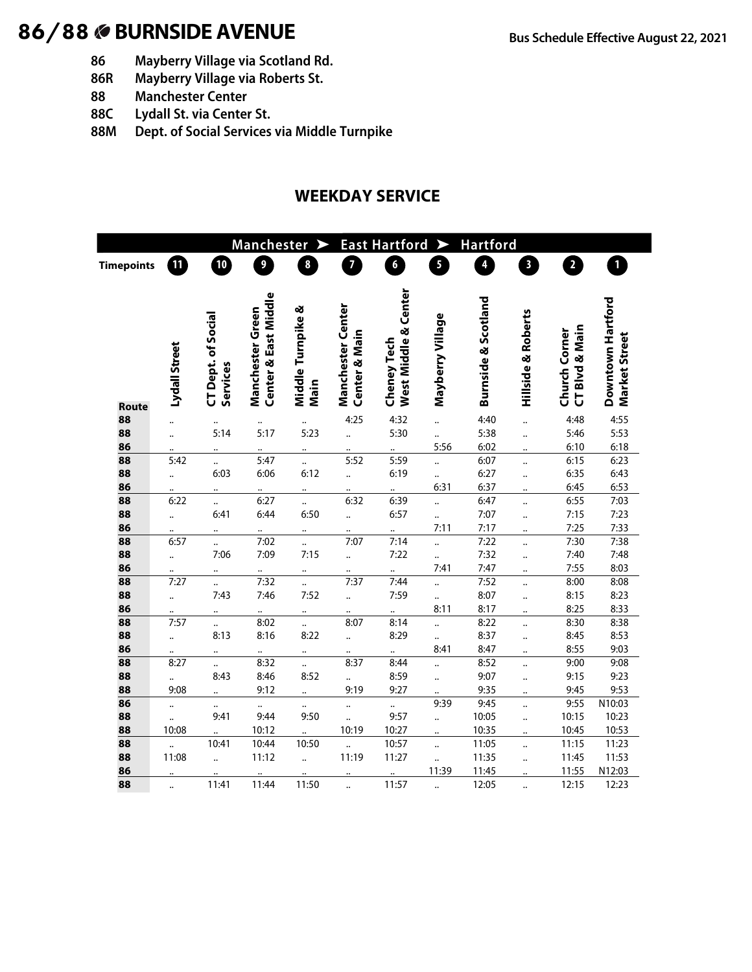- **86 Mayberry Village via Scotland Rd.**
- **86R Mayberry Village via Roberts St.**
- **88 Manchester Center**
- **88C Lydall St. via Center St.**
- **88M Dept. of Social Services via Middle Turnpike**

#### **WEEKDAY SERVICE**

|                   |                      | <b>Manchester</b><br>⋗            |                                          |                           |                                    | <b>East Hartford</b><br>$\blacktriangleright$ |                                              |                         | <b>Hartford</b>               |                                                           |                                    |
|-------------------|----------------------|-----------------------------------|------------------------------------------|---------------------------|------------------------------------|-----------------------------------------------|----------------------------------------------|-------------------------|-------------------------------|-----------------------------------------------------------|------------------------------------|
| <b>Timepoints</b> | 10                   | 10                                | 9                                        | 8                         | 7                                  | $\boldsymbol{6}$                              | $\overline{\mathbf{5}}$                      | $\overline{\mathbf{4}}$ | $\mathbf{3}$                  | $\overline{\mathbf{2}}$                                   | 1                                  |
|                   |                      |                                   |                                          |                           |                                    |                                               |                                              |                         |                               |                                                           |                                    |
| <b>Route</b>      | Lydall Street        | of Social<br>CT Dept.<br>Services | Center & East Middle<br>Manchester Green | Middle Turnpike &<br>Main | Manchester Center<br>Center & Main | West Middle & Center<br><b>Cheney Tech</b>    | Mayberry Village                             | Burnside & Scotland     | <b>Hillside &amp; Roberts</b> | <b>Blvd &amp; Main</b><br>Church Corner<br>$\overline{a}$ | Downtown Hartford<br>Market Street |
| 88                | $\ddot{\phantom{1}}$ | $\ddotsc$                         |                                          |                           | 4:25                               | 4:32                                          | $\ddot{\phantom{a}}$                         | 4:40                    | $\ddot{\phantom{a}}$          | 4:48                                                      | 4:55                               |
| 88                |                      | 5:14                              | 5:17                                     | 5:23                      | $\ddot{\phantom{a}}$               | 5:30                                          |                                              | 5:38                    |                               | 5:46                                                      | 5:53                               |
| 86                |                      |                                   |                                          |                           |                                    |                                               | 5:56                                         | 6:02                    |                               | 6:10                                                      | 6:18                               |
| 88                | 5:42                 |                                   | 5:47                                     |                           | 5:52                               | 5:59                                          |                                              | 6:07                    | $\ddot{\phantom{a}}$          | 6:15                                                      | 6:23                               |
| 88                | $\ddot{\phantom{a}}$ | 6:03                              | 6:06                                     | 6:12                      | $\ddotsc$                          | 6:19                                          |                                              | 6:27                    | $\ddot{\phantom{a}}$          | 6:35                                                      | 6:43                               |
| 86                |                      |                                   |                                          |                           |                                    |                                               | 6:31                                         | 6:37                    |                               | 6:45                                                      | 6:53                               |
| 88                | 6:22                 | $\ddot{\phantom{a}}$              | 6:27                                     | $\ddot{\phantom{a}}$      | 6:32                               | 6:39                                          | $\ddot{\phantom{a}}$                         | 6:47                    | $\ddot{\phantom{a}}$          | 6:55                                                      | 7:03                               |
| 88                | $\ddot{\phantom{a}}$ | 6:41                              | 6:44                                     | 6:50                      | $\ddot{\phantom{a}}$               | 6:57                                          | $\ddot{\phantom{a}}$                         | 7:07                    | $\ddot{\phantom{a}}$          | 7:15                                                      | 7:23                               |
| 86                |                      |                                   | $\ddot{\phantom{a}}$                     |                           | $\ddot{\phantom{a}}$               |                                               | 7:11                                         | 7:17                    |                               | 7:25                                                      | 7:33                               |
| 88                | 6:57                 | $\ddot{\phantom{a}}$              | 7:02                                     | $\ddot{\phantom{a}}$      | 7:07                               | 7:14                                          | $\ddot{\phantom{a}}$                         | 7:22                    |                               | 7:30                                                      | 7:38                               |
| 88                | $\ddot{\phantom{a}}$ | 7:06                              | 7:09                                     | 7:15                      | $\ddot{\phantom{a}}$               | 7:22                                          |                                              | 7:32                    |                               | 7:40                                                      | 7:48                               |
| 86                |                      |                                   |                                          |                           |                                    |                                               | 7:41                                         | 7:47                    |                               | 7:55                                                      | 8:03                               |
| 88                | 7:27                 | $\ddot{\phantom{a}}$              | 7:32                                     |                           | 7:37                               | 7:44                                          | $\ddot{\phantom{a}}$                         | 7:52                    | $\ddot{\phantom{a}}$          | 8:00                                                      | 8:08                               |
| 88                | $\ddot{\cdot}$       | 7:43                              | 7:46                                     | 7:52                      | $\ddot{\phantom{a}}$               | 7:59                                          | $\ddot{\phantom{a}}$                         | 8:07                    | $\ddot{\phantom{a}}$          | 8:15                                                      | 8:23                               |
| 86                | 7:57                 |                                   |                                          |                           | 8:07                               |                                               | 8:11                                         | 8:17                    |                               | 8:25<br>8:30                                              | 8:33<br>8:38                       |
| 88<br>88          |                      | $\ddot{\phantom{a}}$              | 8:02<br>8:16                             | <br>8:22                  |                                    | 8:14<br>8:29                                  | $\ddot{\phantom{a}}$                         | 8:22<br>8:37            | $\ddot{\phantom{a}}$          |                                                           | 8:53                               |
| 86                | $\ddot{\phantom{a}}$ | 8:13                              |                                          |                           | $\ddot{\phantom{a}}$               |                                               | <br>8:41                                     | 8:47                    | $\ddot{\phantom{a}}$          | 8:45<br>8:55                                              | 9:03                               |
| 88                | 8:27                 |                                   | <br>8:32                                 | <br>$\ddot{\phantom{a}}$  | 8:37                               | <br>8:44                                      |                                              | 8:52                    |                               | 9:00                                                      | 9:08                               |
| 88                | $\ddotsc$            | $\ddot{\phantom{a}}$<br>8:43      | 8:46                                     | 8:52                      |                                    | 8:59                                          | $\ddot{\phantom{a}}$<br>$\ddot{\phantom{a}}$ | 9:07                    | $\ddot{\phantom{a}}$<br>      | 9:15                                                      | 9:23                               |
| 88                | 9:08                 |                                   | 9:12                                     | $\ddot{\phantom{a}}$      | $\ddotsc$<br>9:19                  | 9:27                                          |                                              | 9:35                    |                               | 9:45                                                      | 9:53                               |
| 86                | $\ddot{\phantom{a}}$ |                                   |                                          |                           |                                    |                                               | 9:39                                         | 9:45                    |                               | 9:55                                                      | N10:03                             |
| 88                | $\ddot{\phantom{a}}$ | $\ldots$<br>9:41                  | 9:44                                     | 9:50                      |                                    | 9:57                                          | $\ddot{\phantom{a}}$                         | 10:05                   |                               | 10:15                                                     | 10:23                              |
| 88                | 10:08                |                                   | 10:12                                    |                           | 10:19                              | 10:27                                         |                                              | 10:35                   | $\ddot{\phantom{a}}$          | 10:45                                                     | 10:53                              |
| 88                | $\ddotsc$            | 10:41                             | 10:44                                    | 10:50                     |                                    | 10:57                                         | $\ddot{\phantom{a}}$                         | 11:05                   |                               | 11:15                                                     | 11:23                              |
| 88                | 11:08                | $\ddot{\phantom{a}}$              | 11:12                                    | $\ddot{\phantom{a}}$      | 11:19                              | 11:27                                         |                                              | 11:35                   |                               | 11:45                                                     | 11:53                              |
| 86                |                      |                                   |                                          |                           |                                    |                                               | 11:39                                        | 11:45                   |                               | 11:55                                                     | N12:03                             |
| 88                | $\ddot{\phantom{a}}$ | 11:41                             | 11:44                                    | 11:50                     |                                    | 11:57                                         | $\ddotsc$                                    | 12:05                   | $\ddot{\phantom{a}}$          | 12:15                                                     | 12:23                              |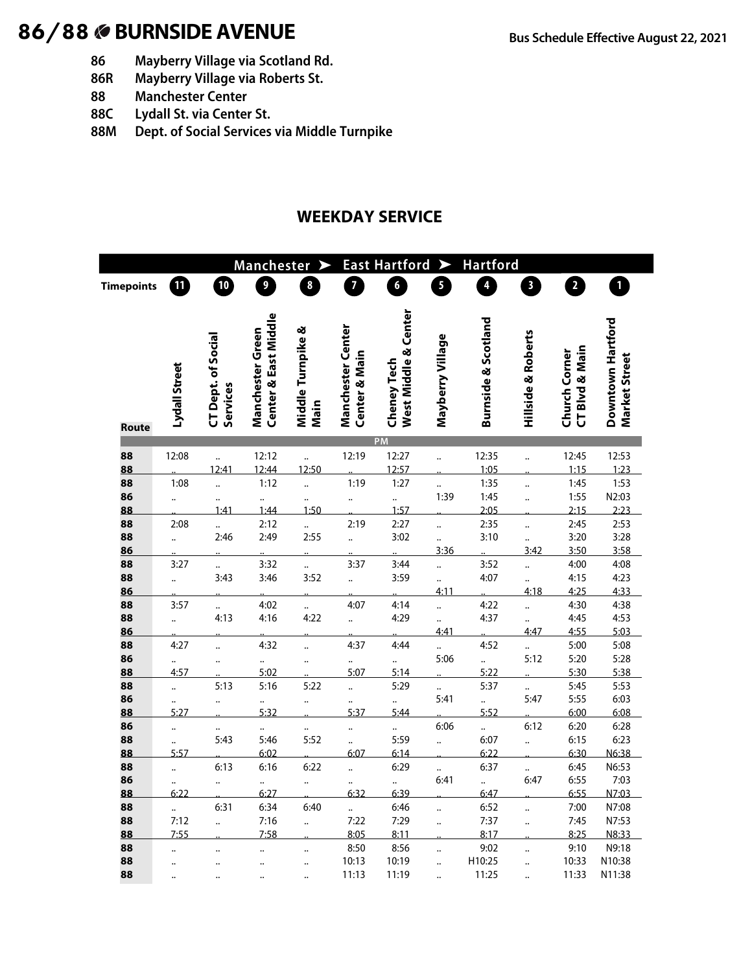- **86 Mayberry Village via Scotland Rd.**
- **86R Mayberry Village via Roberts St.**
- **88 Manchester Center**
- **88C Lydall St. via Center St.**
- **88M Dept. of Social Services via Middle Turnpike**

### **WEEKDAY SERVICE**

|                   |                      |                      | Manchester >         |                      | <b>East Hartford</b><br>➤    |                      |                      | <b>Hartford</b>                |                               |                                 |                   |
|-------------------|----------------------|----------------------|----------------------|----------------------|------------------------------|----------------------|----------------------|--------------------------------|-------------------------------|---------------------------------|-------------------|
| <b>Timepoints</b> | አ                    | 10                   | 9                    | 8                    | 7                            | 6                    | 5                    | $\overline{\mathbf{r}}$        | $\mathbf{3}$                  | $\overline{2}$                  | $\mathbf{1}$      |
|                   |                      |                      |                      |                      |                              |                      |                      |                                |                               |                                 |                   |
|                   |                      |                      |                      |                      |                              |                      |                      |                                |                               |                                 |                   |
|                   |                      |                      | Center & East Middle |                      | Manchester Center            | West Middle & Center |                      | <b>Burnside &amp; Scotland</b> |                               |                                 | Downtown Hartford |
|                   |                      | CT Dept. of Social   | Manchester Green     | Middle Turnpike &    |                              |                      | Mayberry Village     |                                | <b>Hillside &amp; Roberts</b> |                                 |                   |
|                   |                      |                      |                      |                      | <b>Center &amp; Main</b>     |                      |                      |                                |                               | CT Blvd & Main<br>Church Corner | Market Street     |
|                   |                      |                      |                      |                      |                              |                      |                      |                                |                               |                                 |                   |
|                   |                      |                      |                      |                      |                              |                      |                      |                                |                               |                                 |                   |
|                   | Lydall Street        | Services             |                      | Main                 |                              | <b>Cheney Tech</b>   |                      |                                |                               |                                 |                   |
| Route             |                      |                      |                      |                      |                              |                      |                      |                                |                               |                                 |                   |
|                   |                      |                      |                      |                      |                              | <b>PM</b>            |                      |                                |                               |                                 |                   |
| 88                | 12:08                |                      | 12:12                | $\ddot{\phantom{a}}$ | 12:19                        | 12:27                | $\ddot{\phantom{a}}$ | 12:35                          | $\ddot{\phantom{a}}$          | 12:45                           | 12:53             |
| 88                |                      | 12:41                | 12:44                | 12:50                |                              | 12:57                |                      | 1:05                           |                               | 1:15                            | 1:23              |
| 88<br>86          | 1:08                 |                      | 1:12                 |                      | 1:19                         | 1:27                 | <br>1:39             | 1:35<br>1:45                   |                               | 1:45<br>1:55                    | 1:53<br>N2:03     |
| 88                | $\ddot{\phantom{a}}$ | <br>1:41             | <br>1:44             | <br>1:50             | $\ddot{\phantom{a}}$         | $\ddotsc$<br>1:57    |                      | 2:05                           | $\ddot{\phantom{a}}$          | 2:15                            | 2:23              |
| 88                | 2:08                 | $\ddot{\cdot}$       | 2:12                 | $\ddot{\cdot}$       | 2:19                         | 2:27                 | $\ddot{\phantom{a}}$ | 2:35                           | $\ddot{\phantom{a}}$          | 2:45                            | 2:53              |
| 88                | $\ddot{\phantom{a}}$ | 2:46                 | 2:49                 | 2:55                 | $\ddot{\phantom{a}}$         | 3:02                 |                      | 3:10                           |                               | 3:20                            | 3:28              |
| 86                |                      |                      |                      |                      |                              |                      | 3:36                 |                                | 3:42                          | 3:50                            | 3:58              |
| 88                | 3:27                 | $\ddot{\cdot}$       | 3:32                 | $\ddot{\cdot}$       | 3:37                         | 3:44                 | $\ddot{\phantom{a}}$ | 3:52                           | $\ddot{\phantom{a}}$          | 4:00                            | 4:08              |
| 88                | $\ddot{\phantom{a}}$ | 3:43                 | 3:46                 | 3:52                 | $\ddot{\phantom{a}}$         | 3:59                 |                      | 4:07                           | $\ddot{\cdot}$                | 4:15                            | 4:23              |
| 86                |                      |                      |                      |                      |                              |                      | 4:11                 |                                | 4:18                          | 4:25                            | 4:33              |
| 88                | 3:57                 |                      | 4:02                 |                      | 4:07                         | 4:14                 | $\ddot{\phantom{a}}$ | 4:22                           | $\ddot{\cdot}$                | 4:30                            | 4:38              |
| 88                | $\ddot{\phantom{a}}$ | 4:13                 | 4:16                 | 4:22                 | $\ddot{\cdot}$               | 4:29                 | $\ddot{\cdot}$       | 4:37                           | $\ddot{\phantom{a}}$          | 4:45                            | 4:53              |
| 86                |                      |                      |                      |                      |                              |                      | 4:41                 |                                | 4:47                          | 4:55                            | 5:03              |
| 88                | 4:27                 | $\ddot{\phantom{a}}$ | 4:32                 | $\ddot{\phantom{a}}$ | 4:37                         | 4:44                 | $\ddot{\phantom{0}}$ | 4:52                           | $\ddot{\cdot}$                | 5:00                            | 5:08              |
| 86                |                      | $\ddot{\phantom{a}}$ |                      | $\ddot{\phantom{a}}$ | $\ddotsc$                    | $\ddot{\cdot}$       | 5:06                 | $\ddot{\cdot}$                 | 5:12                          | 5:20                            | 5:28              |
| 88                | 4:57                 | 5:13                 | 5:02<br>5:16         | 5:22                 | 5:07                         | 5:14<br>5:29         |                      | 5:22<br>5:37                   |                               | 5:30<br>5:45                    | 5:38<br>5:53      |
| 88<br>86          |                      |                      |                      |                      |                              |                      | ä,<br>5:41           | $\ddotsc$                      | $\ddot{\phantom{a}}$<br>5:47  | 5:55                            | 6:03              |
| 88                | <br>5:27             |                      | <br>5:32             |                      | $\ddot{\phantom{a}}$<br>5:37 | <br>5:44             |                      | 5:52                           |                               | 6:00                            | 6:08              |
| 86                | $\ddot{\phantom{a}}$ |                      |                      |                      |                              |                      | 6:06                 | $\ddot{\cdot}$                 | 6:12                          | 6:20                            | 6:28              |
| 88                |                      | 5:43                 | 5:46                 | 5:52                 | $\ddot{\cdot}$               | 5:59                 | $\ddot{\phantom{a}}$ | 6:07                           | $\ddot{\phantom{a}}$          | 6:15                            | 6:23              |
| 88                | 5:57                 |                      | 6:02                 |                      | 6:07                         | 6:14                 |                      | 6:22                           |                               | 6:30                            | N6:38             |
| 88                | $\ddot{\cdot}$       | 6:13                 | 6:16                 | 6:22                 | $\ddot{\phantom{a}}$         | 6:29                 |                      | 6:37                           |                               | 6:45                            | N6:53             |
| 86                |                      | $\ddot{\phantom{a}}$ | $\ddot{\phantom{0}}$ | $\ddot{\phantom{a}}$ |                              |                      | 6:41                 | $\ddot{\phantom{a}}$           | 6:47                          | 6:55                            | 7:03              |
| 88                | 6:22                 |                      | 6:27                 |                      | 6:32                         | 6:39                 |                      | 6:47                           |                               | 6:55                            | N7:03             |
| 88                |                      | 6:31                 | 6:34                 | 6:40                 |                              | 6:46                 |                      | 6:52                           | $\ddot{\phantom{a}}$          | 7:00                            | N7:08             |
| 88                | 7:12                 | $\ddot{\phantom{a}}$ | 7:16                 | $\ddot{\phantom{a}}$ | 7:22                         | 7:29                 |                      | 7:37                           |                               | 7:45                            | N7:53             |
| 88                | 7:55                 |                      | 7:58                 |                      | 8:05                         | 8:11                 |                      | 8:17                           |                               | 8:25                            | N8:33             |
| 88                |                      |                      |                      | $\ddot{\phantom{a}}$ | 8:50                         | 8:56                 | $\ddot{\phantom{a}}$ | 9:02                           |                               | 9:10                            | N9:18             |
| 88                |                      |                      | $\ddot{\phantom{a}}$ |                      | 10:13                        | 10:19                |                      | H10:25                         |                               | 10:33                           | N10:38            |
| 88                |                      |                      |                      |                      | 11:13                        | 11:19                |                      | 11:25                          |                               | 11:33                           | N11:38            |